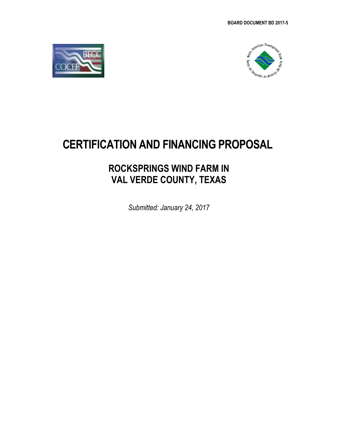



# **CERTIFICATION AND FINANCING PROPOSAL**

## **ROCKSPRINGS WIND FARM IN VAL VERDE COUNTY, TEXAS**

*Submitted: January 24, 2017*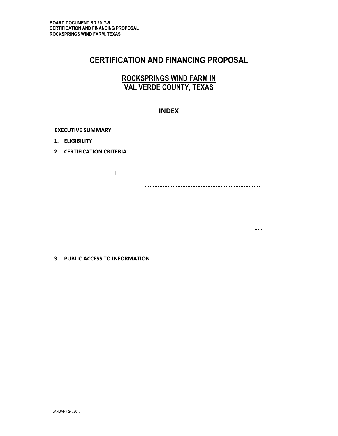## **CERTIFICATION AND FINANCING PROPOSAL**

## **ROCKSPRINGS WIND FARM IN VAL VERDE COUNTY, TEXAS**

#### **INDEX**

|    | 2. CERTIFICATION CRITERIA           |  |  |  |
|----|-------------------------------------|--|--|--|
|    |                                     |  |  |  |
|    |                                     |  |  |  |
|    |                                     |  |  |  |
|    |                                     |  |  |  |
|    |                                     |  |  |  |
|    |                                     |  |  |  |
|    |                                     |  |  |  |
|    |                                     |  |  |  |
| 3. | <b>PUBLIC ACCESS TO INFORMATION</b> |  |  |  |
|    |                                     |  |  |  |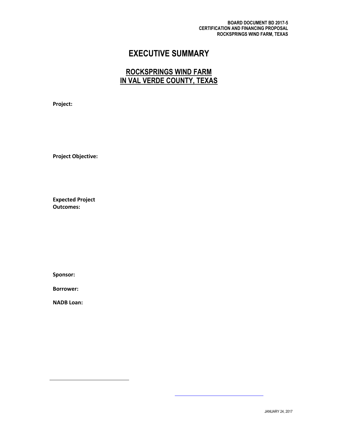## **EXECUTIVE SUMMARY**

## **ROCKSPRINGS WIND FARM IN VAL VERDE COUNTY, TEXAS**

reported by the U.S. Energy Information Administration (EIA).<http://www.eia.gov/electricity/state/texas/>

**Project:** The project construction and operation and operation and operation and operation and operation of an

**Project Objective:** 

**Expected Project Outcomes:**

**Sponsor:** 

**Borrower:** 

**NADB Loan:**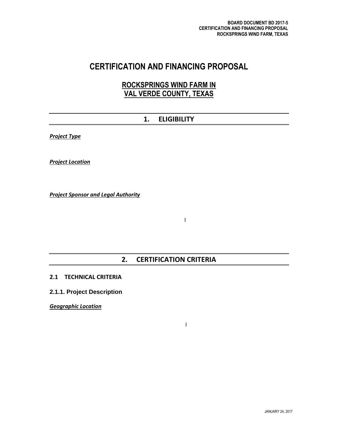## **CERTIFICATION AND FINANCING PROPOSAL**

## **ROCKSPRINGS WIND FARM IN VAL VERDE COUNTY, TEXAS**

### **1. ELIGIBILITY**

*Project Type*

*Project Location*

*Project Sponsor and Legal Authority*

#### **2. CERTIFICATION CRITERIA**

located approximately 30 miles northeast of the city of Del Rio, Texas, which is directly across the

 $\Gamma$  ) to implement the Project Rocksprings is a Delaware based, limited limited limited limited limited limited limited limited limited limited limited limited limited limited limited limited limited limited limited limit

**2.1 TECHNICAL CRITERIA**

**2.1.1. Project Description**

*Geographic Location*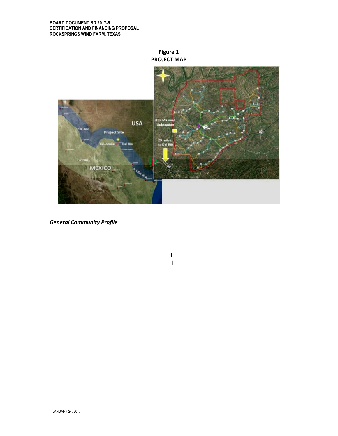**Figure 1 PROJECT MAP**



*General Community Profile*

including Kinney, Starr, Jim Hogg, Zapata, Webb, Dimmit, Maverick, Zavala, Uvalde, Edwards, Val Verde, Crockets, Terrell, Brewster, Presidio, Jeff Davis and Culberson counties. BECC estimate

Source: U.S. Census Quick Facts at<http://www.census.gov/quickfacts/table/PST045215/48465,00>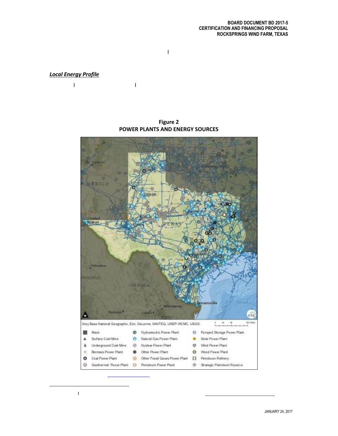#### *Local Energy Profile*

The U.S. Department of Energy (DOE) through the Energy Information Administration (EIA)

**MEXICO** 建态份 **REBERT** Chilmonial **HUA HUA CA HIELA** Brownsville Monterrey Turnson **MARTIN**  $e\overline{h}$ п 机,形。 192.000 Grey Base National Geographic, Esn. DeLorme, NAVTEQ, UNEP-WCMC, USGS,  $\frac{16}{3}$  $\bullet$ Hydroelectric Power Plant <sup>1</sup> Pumped Storage Power Plant 鹽 Mask Surface Coal Mine Natural Gas Power Plant Solar Power Plant  $\circ$ ٠ ٠ Underground Coal Mine  $\circ$ Nuclear Power Plant  $\circ$ Wind Power Plant Т Bomass Power Plant Other Power Plant  $\circ$ Wood Power Plant ö  $\bullet$ Coal Power Plant Other Fossi Gases Power Plant I Petroleum Refinery  $\circ$  $\odot$ Geothermal Power Plant **O** Petroleum Power Plant Strategic Petroleum Reserve



largest community in the county is the city of Del Rio with an estimated population of 36,153

 $\overline{a}$ 

Source: EiA [\(http://www.eia.gov/\)](http://www.eia.gov/).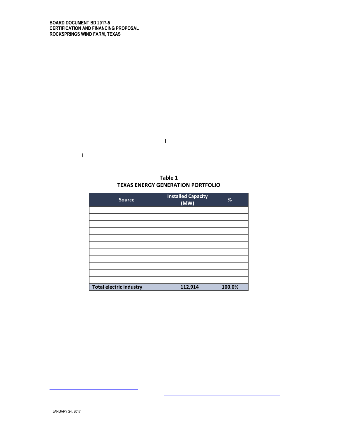

**Table 1 TEXAS ENERGY GENERATION PORTFOLIO**

the BECC/NADB have certified and funded five clean energy projects that are contributing 461.3

| <b>Source</b>                  | <b>Installed Capacity</b><br>(MW) | %      |
|--------------------------------|-----------------------------------|--------|
|                                |                                   |        |
|                                |                                   |        |
|                                |                                   |        |
|                                |                                   |        |
|                                |                                   |        |
|                                |                                   |        |
|                                |                                   |        |
|                                |                                   |        |
|                                |                                   |        |
|                                |                                   |        |
|                                |                                   |        |
| <b>Total electric industry</b> | 112,914                           | 100.0% |
|                                |                                   |        |

Source: EIA, Texas Electricity Profile 20 [http://www.eia.gov/electricity/state/texas/\)](http://www.eia.gov/electricity/state/texas/).

Source: Texas Renewable Energy Industry 2014 report, [http://gov.texas.gov/files/ecodev/Renewable\\_Energy.pdf](http://gov.texas.gov/files/ecodev/Renewable_Energy.pdf)

<http://www.eia.gov/electricity/state/texas/>state/texas/state/texas/state/texas/state/texas/state/texas/state/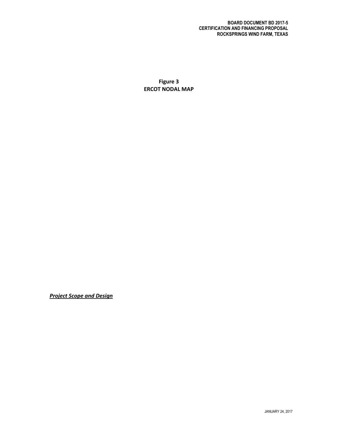**BOARD DOCUMENT BD 2017-5 CERTIFICATION AND FINANCING PROPOSAL ROCKSPRINGS WIND FARM, TEXAS**

**Figure 3 ERCOT NODAL MAP**

*Project Scope and Design*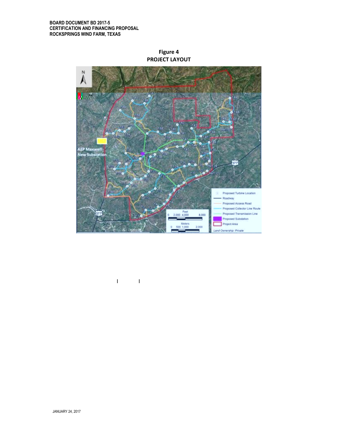#### **BOARD DOCUMENT BD 2017-5 CERTIFICATION AND FINANCING PROPOSAL ROCKSPRINGS WIND FARM, TEXAS**

**Figure 4 PROJECT LAYOUT**



The Commercial Operation Date (COD) is anticipated to occur no later than August 31, 2017. Some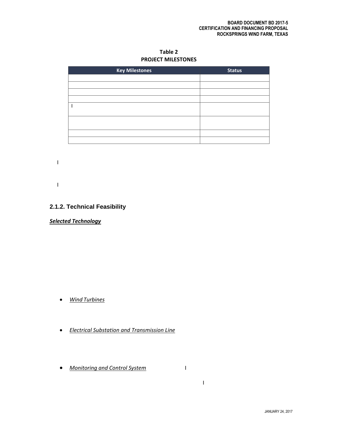**Table 2 PROJECT MILESTONES** 

| <b>Key Milestones</b> | <b>Status</b> |
|-----------------------|---------------|
|                       |               |
|                       |               |
|                       |               |
|                       |               |
|                       |               |
|                       |               |
|                       |               |
|                       |               |
|                       |               |
|                       |               |

NADB's procurement policies require that private sector borrowers use appropriate procurement

NADB will review compliance with this policy.

#### **2.1.2. Technical Feasibility**

#### *Selected Technology*

- *Wind Turbines*
- *Electrical Substation and Transmission Line*
- *Monitoring and Control System* the operation of the operation of the operation of the operation of the operation of the operation of the operation of the operation of the operation of the operation of turbine, the opera

computer or a remote PC. In case of problems, the SCADA system will alert the operations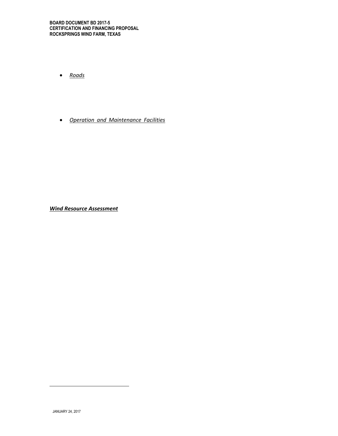• *Roads* 

• **Operation and Maintenance Facilities** 

*Wind Resource Assessment*

 $\overline{a}$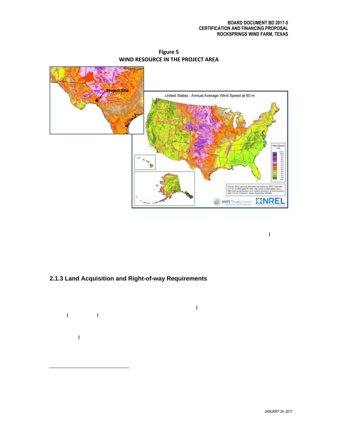

installed in 2009 and two in ugust 2014), correlated with a weather station located in Del Rio,

**Figure 5 WIND RESOURCE IN THE PROJECT AREA**

#### **2.1.3 Land Acquisition and Right-of-way Requirements**

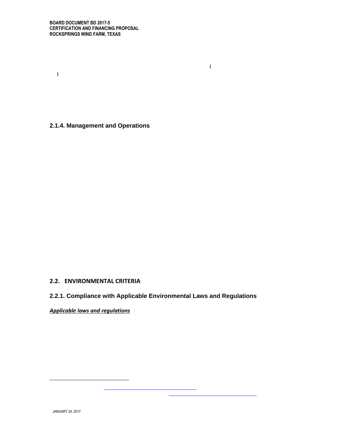**2.1.4. Management and Operations** 

#### **2.2. ENVIRONMENTAL CRITERIA**

#### **2.2.1. Compliance with Applicable Environmental Laws and Regulations**

<sup>13</sup> For a detailed list of M.A. Mortenson wind projects, see[: http://www.mortenson.com/wind/projects](http://www.mortenson.com/wind/projects)

ighway ight ays have been obtained from the Texas Department of Transportation (TxDOT), allowing the Sponsor to construct permanent commercial access to the Project facilities.

*Applicable laws and regulations*

<sup>12</sup> Source: Akuo web page[. https://www.akuoenergy.com/en/home.html](https://www.akuoenergy.com/en/home.html)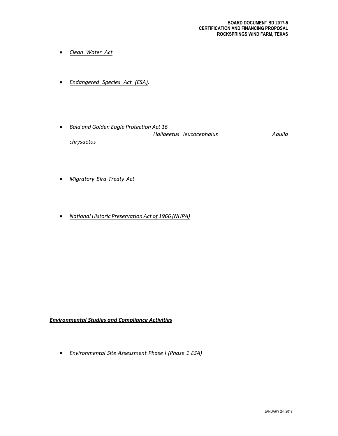- *Clean Water Act*
- *Endangered Species Act (ESA)*,
- *Bald and Golden Eagle Protection Act 16* or transporting a bald eagle (*Haliaeetus leucocephalus*) or golden eagle (*Aquila chrysaetos*

- *Migratory Bird Treaty Act*
- *National Historic Preservation Act of 1966 (NHPA)*

*Environmental Studies and Compliance Activities*

• *Environmental Site Assessment Phase I (Phase 1 ESA)*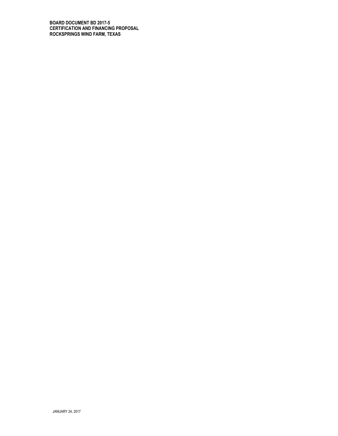**BOARD DOCUMENT BD 2017-5 CERTIFICATION AND FINANCING PROPOSAL ROCKSPRINGS WIND FARM, TEXAS**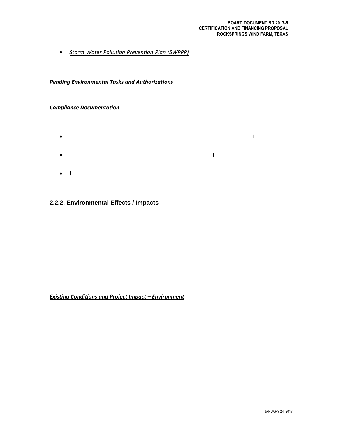• *Storm Water Pollution Prevention Plan (SWPPP)* 

#### *Pending Environmental Tasks and Authorizations*

#### *Compliance Documentation*

- $\bullet$  Air  $\bullet$  Air  $\bullet$  Concrete Batch Plants, issued by TCEQ on December 10, is used by TCEQ on December 10, is used by TCE
- $\bullet$  General permit for discharge under the Texas Pollution Discharge  $\mathbb{R}$
- $\bullet$  Determination of No Hazard to Air Navigation, issued by the Federal Aviation, is used by the Federal Aviation, is used by the Federal Aviation, is used by the Federal Aviation, is used by the Federal Aviation, is use

#### **2.2.2. Environmental Effects / Impacts**

*Existing Conditions and Project Impact – Environment*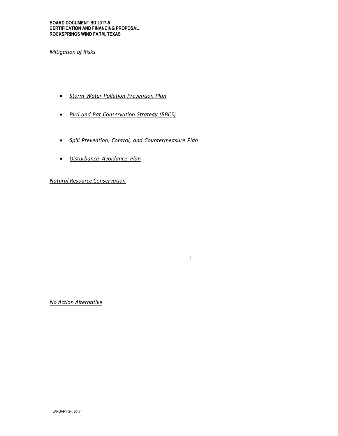#### *Mitigation of Risks*

- *Storm Water Pollution Prevention Plan*
- *Bird and Bat Conservation Strategy (BBCS)*
- Spill Prevention, Control, and Countermeasure Plan

The Project will be constructed in compliance with the Disturbance Avoidance Plan dditional

• Disturbance Avoidance Plan

*Natural Resource Conservation*

*No Action Alternative*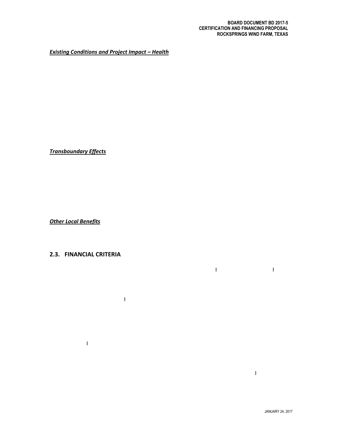*<u>Existing Conditions and Project Impact – Health*</u>

*Transboundary Effects*

*Other Local Benefits*

#### **2.3. FINANCIAL CRITERIA**

The Project Sponsor has requested a loan from the North American Development Bank (NADB) to

In addition, NADB's analysis verified that Rocksprings Val Verde Wind, LLC has the legal authority

at the end of construction. NADB will have no recourse beyond the Project Company.